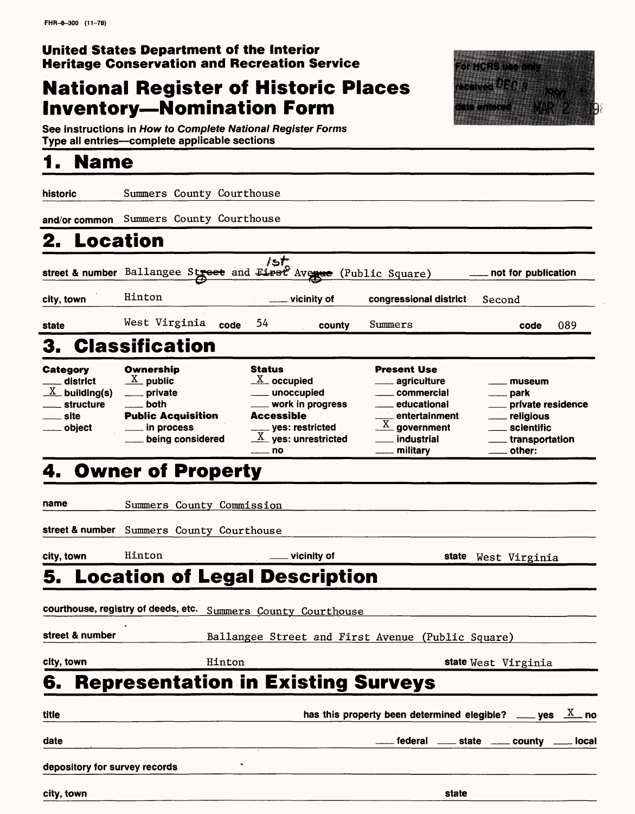#### **United States Department of the Interior Heritage Conservation and Recreation Service**

## **National Register of Historic Places Inventory-Nomination Form**



**See instructions in How to Complete National Register Forms Type all entries—complete applicable sections** 

### **1. Name**

| historic                                                                                           | Summers County Courthouse                                                                                                       |                                                                                                                                                             |                                                                                                                                                                   |                                                                                            |
|----------------------------------------------------------------------------------------------------|---------------------------------------------------------------------------------------------------------------------------------|-------------------------------------------------------------------------------------------------------------------------------------------------------------|-------------------------------------------------------------------------------------------------------------------------------------------------------------------|--------------------------------------------------------------------------------------------|
|                                                                                                    | and/or common Summers County Courthouse                                                                                         |                                                                                                                                                             |                                                                                                                                                                   |                                                                                            |
| <b>2. Location</b>                                                                                 |                                                                                                                                 |                                                                                                                                                             |                                                                                                                                                                   |                                                                                            |
|                                                                                                    | street & number Ballangee Street and Liver Averse (Public Square)                                                               | パった                                                                                                                                                         |                                                                                                                                                                   | not for publication                                                                        |
| city, town                                                                                         | Hinton                                                                                                                          | <sub>-</sub> vicinity of                                                                                                                                    | congressional district                                                                                                                                            | Second                                                                                     |
| state                                                                                              | West Virginia code                                                                                                              | 54<br>county                                                                                                                                                | Summers                                                                                                                                                           | 089<br>code                                                                                |
| 3.                                                                                                 | <b>Classification</b>                                                                                                           |                                                                                                                                                             |                                                                                                                                                                   |                                                                                            |
| <b>Category</b><br>$\_$ district<br>$\underline{X}$ building(s)<br>structure<br>site s<br>_ object | Ownership<br>$\underline{X}$ public<br>_____ private<br>___ both<br><b>Public Acquisition</b><br>in process<br>being considered | Status<br>$X_{\text{-}}$ occupied<br>____ unoccupied<br>work in progress<br>Accessible<br>____ yes: restricted<br>$\underline{X}$ yes: unrestricted<br>— no | <b>Present Use</b><br>agriculture<br><sub>——</sub> commercial<br>educational<br>entertainment<br>$\frac{\text{X}}{\text{2}}$ government<br>industrial<br>military | museum<br>park<br>private residence<br>religious<br>scientific<br>transportation<br>other: |
|                                                                                                    | 4. Owner of Property                                                                                                            |                                                                                                                                                             |                                                                                                                                                                   |                                                                                            |
| name                                                                                               | Summers County Commission                                                                                                       |                                                                                                                                                             |                                                                                                                                                                   |                                                                                            |
|                                                                                                    | street & number Summers County Courthouse                                                                                       |                                                                                                                                                             |                                                                                                                                                                   |                                                                                            |
| city, town                                                                                         | Hinton                                                                                                                          | vicinity of                                                                                                                                                 |                                                                                                                                                                   | state West Virginia                                                                        |
|                                                                                                    | 5.  Location of Legal Description                                                                                               |                                                                                                                                                             |                                                                                                                                                                   |                                                                                            |
|                                                                                                    | courthouse, registry of deeds, etc.                                                                                             | Summers County Courthouse                                                                                                                                   |                                                                                                                                                                   |                                                                                            |
| street & number                                                                                    |                                                                                                                                 | Ballangee Street and First Avenue (Public Square)                                                                                                           |                                                                                                                                                                   |                                                                                            |
| city, town                                                                                         | Hinton                                                                                                                          |                                                                                                                                                             |                                                                                                                                                                   | state West Virginia                                                                        |
| 6.                                                                                                 | <b>Representation in Existing Surveys</b>                                                                                       |                                                                                                                                                             |                                                                                                                                                                   |                                                                                            |
| title                                                                                              |                                                                                                                                 |                                                                                                                                                             | has this property been determined elegible?                                                                                                                       | $\rule{1em}{0.15mm}$ yes $\Delta$ no                                                       |
| date                                                                                               |                                                                                                                                 |                                                                                                                                                             | federal _                                                                                                                                                         | local                                                                                      |
| depository for survey records                                                                      |                                                                                                                                 |                                                                                                                                                             |                                                                                                                                                                   |                                                                                            |

**city, town state**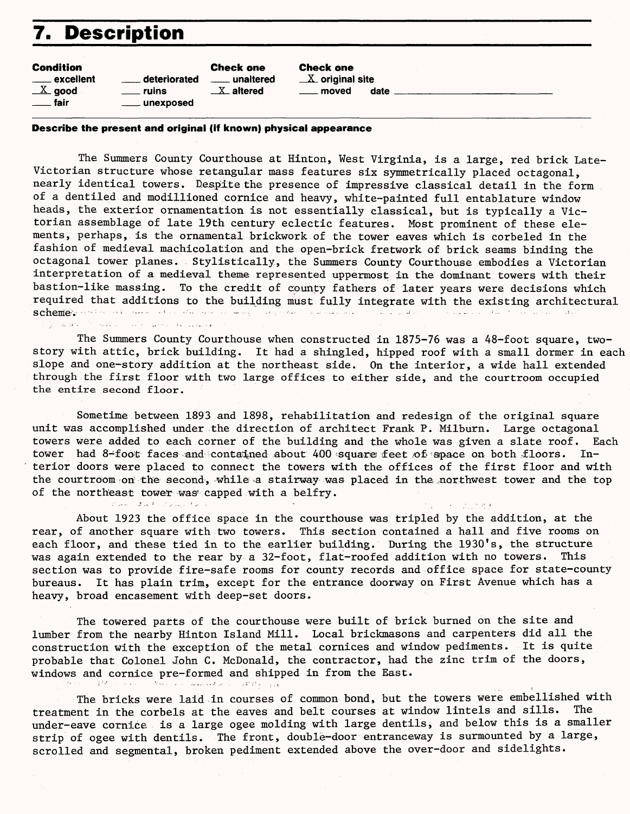### **7. Description**

| <b>Condition</b> |  |
|------------------|--|
| excellent        |  |

| ____ excellent                             | deteriorated    | <u>_</u> ___ unaltered |
|--------------------------------------------|-----------------|------------------------|
| $\underline{\phantom{a}}\mathbf{X}$ good . | ruins           | $X$ altered            |
| fair<br>$\sim$                             | _____ unexposed |                        |

Check one  $X$  original site moved date

#### **Describe the present and original (iff known) physical appearance**

Check one

The Summers County Courthouse at Hinton, West Virginia, is a large, red brick Late-Victorian structure whose retangular mass features six symmetrically placed octagonal, nearly identical towers. Despite the presence of impressive classical detail in the form of a dentiled and modillioned cornice and heavy, white-painted full entablature window heads, the exterior ornamentation is not essentially classical, but is typically a Victorian assemblage of late 19th century eclectic features. Most prominent of these elements, perhaps, is the ornamental brickwork of the tower eaves which is corbeled in the fashion of medieval machicolation and the open-brick fretwork of brick seams binding the octagonal tower planes. Stylistically, the Summers County Courthouse embodies a Victorian interpretation of a medieval theme represented uppermost in the dominant towers with their bastion-like massing. To the credit of county fathers of later years were decisions which required that additions to the building must fully integrate with the existing architectural scheme. scheiiie. ' - - -< --'- - - - - *•'•. •••-* --.--...-.- ..... *...\*••••* - ...... . *>- • •- • ~*

Governo American and Extra de Article

The Summers County Courthouse when constructed in 1875-76 was a 48-foot square, twostory with attic, brick building. It had a shingled, hipped roof with a small dormer in each slope and one-story addition at the northeast side. On the interior, a wide hall extended through the first floor with two large offices to either side, and the courtroom occupied the entire second floor.

Sometime between 1893 and 1898, rehabilitation and redesign of the original square unit was accomplished under the direction of architect Frank P. Milburn. Large octagonal towers were added to each corner of the building and the whole was given a slate roof. Each tower had 8-foot faces and contained about 400 square feet of space on both floors. Interior doors were placed to connect the towers with the offices of the first floor and with the courtroom on the second, while a stairway was placed in the northwest tower and the top of the northeast tower was? capped with a belfry.

state of the property

About 1923 the office space in the courthouse was tripled by the addition, at the rear, of another square with two towers. This section contained a hall and five rooms on each floor, and these tied in to the earlier building. During the 1930's, the structure was again extended to the rear by a 32-foot, flat-roofed addition with no towers. This section was to provide fire-safe rooms for county records and office space for state-county bureaus. It has plain trim, except for the entrance doorway on First Avenue which has a heavy, broad encasement with deep-set doors.

The towered parts of the courthouse were built of brick burned on the site and lumber from the nearby Hinton Island Mill. Local brickmasons and carpenters did all the construction with the exception of the metal cornices and window pediments. It is quite probable that Colonel John C. McDonald, the contractor, had the zinc trim of the doors, windows and cornice pre-formed and shipped in from the East.

وأبأب والمحفظ للهيفات والعرو وملعا  $\pm 4.374$  ,  $\pm 1.48$ 

The bricks were laid in courses of common bond, but the towers were embellished with<br>in the corbels at the eaves and belt courses at window lintels and sills. The treatment in the corbels at the eaves and belt courses at window lintels and sills. under-eave cornice is a large ogee molding with large dentils, and below this is a smaller strip of ogee with dentils. The front, double-door entranceway is surmounted by a large, scrolled and segmental, broken pediment extended above the over-door and sidelights.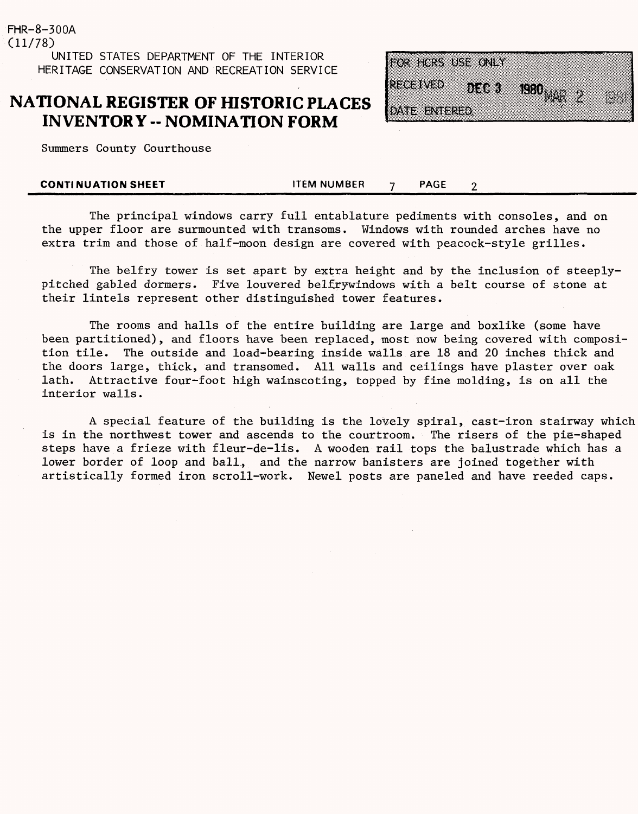(11/78) UNITED STATES DEPARTMENT OF THE INTERIOR HERITAGE CONSERVATION AND RECREATION SERVICE

#### **NATIONAL REGISTER OF HISTORIC PLACES INVENTORY -- NOMINATION FORM**

Summers County Courthouse

FHR-8-300A

| FOR HCRS USE ONLY |                                 |      |  |
|-------------------|---------------------------------|------|--|
|                   |                                 |      |  |
|                   |                                 |      |  |
| <b>RECEIVED</b>   | $\overline{0}$ C $\overline{0}$ |      |  |
|                   |                                 |      |  |
|                   |                                 | 1980 |  |
| DATE ENTERED      |                                 |      |  |
|                   |                                 |      |  |
|                   |                                 |      |  |

|--|

The principal windows carry full entablature pediments with consoles, and on the upper floor are surmounted with transoms. Windows with rounded arches have no extra trim and those of half-moon design are covered with peacock-style grilles.

The belfry tower is set apart by extra height and by the inclusion of steeplypitched gabled dormers. Five louvered belfrywindows with a belt course of stone at their lintels represent other distinguished tower features.

The rooms and halls of the entire building are large and boxlike (some have been partitioned), and floors have been replaced, most now being covered with composition tile. The outside and load-bearing inside walls are 18 and 20 inches thick and the doors large, thick, and transomed. All walls and ceilings have plaster over oak lath. Attractive four-foot high wainscoting, topped by fine molding, is on all the interior walls.

A special feature of the building is the lovely spiral, cast-iron stairway which is in the northwest tower and ascends to the courtroom. The risers of the pie-shaped steps have a frieze with fleur-de-lis. A wooden rail tops the balustrade which has a lower border of loop and ball, and the narrow banisters are joined together with artistically formed iron scroll-work. Newel posts are paneled and have reeded caps.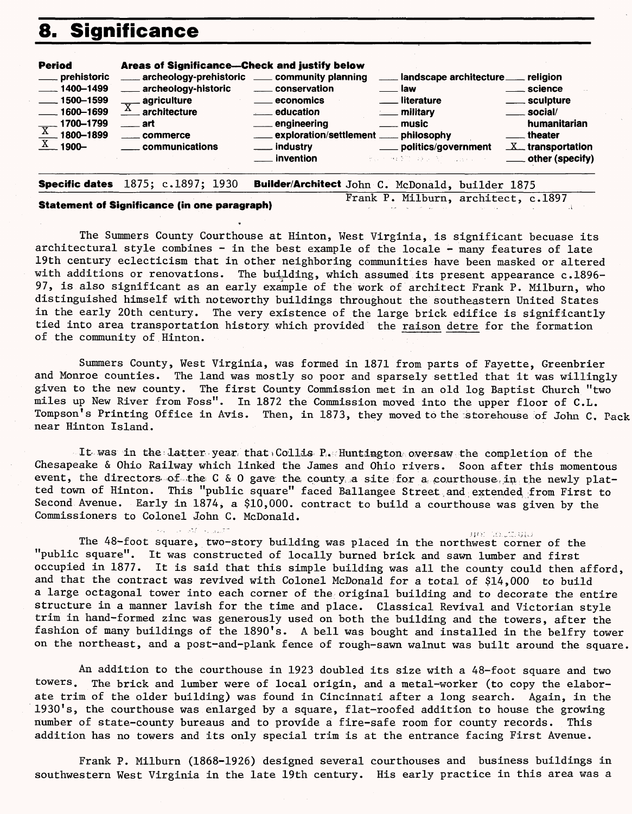### **8. Significance**

| <b>Period</b>                     | <b>Areas of Significance---Check and justify below</b> |                                        |                                    |                                 |
|-----------------------------------|--------------------------------------------------------|----------------------------------------|------------------------------------|---------------------------------|
| ____ prehistoric                  | archeology-prehistoric __ community planning           |                                        | Landscape architecture Langleigion |                                 |
| $-1400 - 1499$                    | archeology-historic                                    | _____ conservation                     | __ law                             | ___ science                     |
| $\frac{1}{2}$ 1500-1599           | agriculture                                            | ____ economics                         | <u>__</u> _ literature             | ____ sculpture                  |
| $\frac{1600 - 1699}{1600 - 1699}$ | architecture                                           | <u>_</u> ___ education                 | <u>_</u> __ military               | ___ social/                     |
| 1700-1799                         | <u>___</u> art                                         | ____ engineering                       | <u>_</u> _ music                   | humanitarian                    |
| $X = 1800 - 1899$                 | .commerce                                              | exploration/settlement ____ philosophy |                                    | theater                         |
| $\overline{X}$ 1900-              | _____ communications                                   | industry                               | ____ politics/government           | $X$ <sub>-</sub> transportation |
|                                   |                                                        | invention                              | あいとみばひ あいきし しゅしこん                  | ____ other (specify)            |

| Specific dates 1875; c.1897; 1930 Builder/Architect John C. McDonald, builder 1875 |  |                                                                                                                            |  |
|------------------------------------------------------------------------------------|--|----------------------------------------------------------------------------------------------------------------------------|--|
| <b>Statement of Significance (in one paragraph)</b>                                |  | Frank P. Milburn, architect, c.1897<br>الأولى المستحدث والمستحدث والمتعادل والمتعادل والأستراح المتعادل والمتعادل والمتحدث |  |

The Summers County Courthouse at Hinton, West Virginia, is significant becuase its architectural style combines - in the best example of the locale - many features of late 19th century eclecticism that in other neighboring communities have been masked or altered with additions or renovations. The building, which assumed its present appearance c.1896- 97, is also significant as an early example of the work of architect Frank P. Milburn, who distinguished himself with noteworthy buildings throughout the southeastern United States in the early 20th century. The very existence of the large brick edifice is significantly tied into area transportation history which provided the raison detre for the formation of the community of Hinton.

Summers County, West Virginia, was formed in 1871 from parts of Fayette, Greenbrier and Monroe counties. The land was mostly so poor and sparsely settled that it was willingly given to the new county. The first County Commission met in an old log Baptist Church "two miles up New River from Foss". In 1872 the Commission moved into the upper floor of C.L. Tompson's Printing Office in Avis. Then, in 1873, they moved to the storehouse of John C. Pack near Hinton Island.

It was in the latter year that Collis P. Huntington oversaw the completion of the Chesapeake & Ohio Railway which linked the James and Ohio rivers. Soon after this momentous event, the directors of the C & O gave the county a site for a courthouse in the newly platted town of Hinton. This "public square" faced Ballangee Street and extended from First to Second Avenue. Early in 1874, a \$10,000. contract to build a courthouse was given by the Commissioners to Colonel John C. McDonald.

technical Africa Super nom tournale The 48-foot square, two-story building was placed in the northwest corner of the "public square". It was constructed of locally burned brick and sawn lumber and first occupied in 1877. It is said that this simple building was all the county could then afford, and that the contract was revived with Colonel McDonald for a total of \$14,000 to build a large octagonal tower into each corner of the original building and to decorate the entire structure in a manner lavish for the time and place. Classical Revival and Victorian style trim in hand-formed zinc was generously used on both the building and the towers, after the fashion of many buildings of the 1890's. A bell was bought and installed in the belfry tower on the northeast, and a post-and-plank fence of rough-sawn walnut was built around the square.

An addition to the courthouse in 1923 doubled its size with a 48-foot square and two towers. The brick and lumber were of local origin, and a metal-worker (to copy the elaborate trim of the older building) was found in Cincinnati after a long search. Again, in the 1930's, the courthouse was enlarged by a square, flat-roofed addition to house the growing number of state-county bureaus and to provide a fire-safe room for county records. This addition has no towers and its only special trim is at the entrance facing First Avenue.

Frank P. Milburn (1868-1926) designed several courthouses and business buildings in southwestern West Virginia in the late 19th century. His early practice in this area was a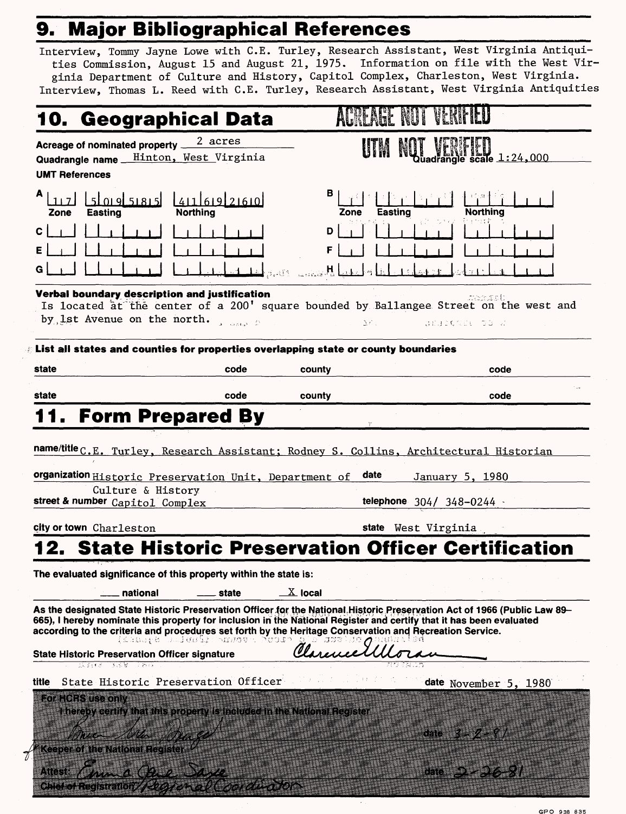# 9. Major Bibliographical References

Interview, Tommy Jayne Lowe with C.E. Turley, Research Assistant, West Virginia Antiquities Commission, August 15 and August 21, 1975. Information on file with the West Virginia Department of Culture and History, Capitol Complex, Charleston, West Virginia. Interview, Thomas L. Reed with C.E. Turley, Research Assistant, West Virginia Antiquities

| 10. Geographical Data                                                                                                                                                                                                                                            |                                        |                          |                                                                                                                          |
|------------------------------------------------------------------------------------------------------------------------------------------------------------------------------------------------------------------------------------------------------------------|----------------------------------------|--------------------------|--------------------------------------------------------------------------------------------------------------------------|
| Acreage of nominated property _<br>Quadrangle name Hinton, West Virginia<br><b>UMT References</b>                                                                                                                                                                | 2 acres                                |                          | adrandle scale $1:24,000$                                                                                                |
| $\frac{1}{2}$ 5 1 $\frac{1}{2}$ 5 1 8 1 5 1<br><b>Easting</b><br>Zone                                                                                                                                                                                            | 141161921610<br><b>Northing</b>        | в<br>Easting<br>Zone     | <b>Northing</b>                                                                                                          |
| С<br>Е                                                                                                                                                                                                                                                           |                                        | D                        |                                                                                                                          |
| G                                                                                                                                                                                                                                                                |                                        | $1\,E$ Sixing $\,$ 23-15 |                                                                                                                          |
| Verbal boundary description and justification                                                                                                                                                                                                                    |                                        |                          | Is located at the center of a 200' square bounded by Ballangee Street on the west and                                    |
| by 1st Avenue on the north.                                                                                                                                                                                                                                      |                                        | $\sum_{i=1}^n x_i^2 = 1$ | i i anabovet da u                                                                                                        |
| List all states and counties for properties overlapping state or county boundaries                                                                                                                                                                               |                                        |                          |                                                                                                                          |
| state                                                                                                                                                                                                                                                            | code                                   | county                   | code                                                                                                                     |
| state                                                                                                                                                                                                                                                            | code                                   | county                   | code                                                                                                                     |
|                                                                                                                                                                                                                                                                  |                                        |                          |                                                                                                                          |
| 11. Form Prepared By<br>organization Historic Preservation Unit, Department of                                                                                                                                                                                   |                                        | date                     | name/title C.E. Turley, Research Assistant; Rodney S. Collins, Architectural Historian<br>January 5, 1980                |
| Culture & History                                                                                                                                                                                                                                                |                                        |                          | telephone 304/ 348-0244 -                                                                                                |
|                                                                                                                                                                                                                                                                  |                                        |                          | state West Virginia                                                                                                      |
|                                                                                                                                                                                                                                                                  |                                        |                          | 2. State Historic Preservation Officer Certification                                                                     |
| street & number Capitol Complex<br>city or town Charleston<br>The evaluated significance of this property within the state is:                                                                                                                                   |                                        |                          |                                                                                                                          |
| national                                                                                                                                                                                                                                                         | state                                  | $\mathbf{X}$ local       |                                                                                                                          |
| 665), I hereby nominate this property for inclusion in the National Register and certify that it has been evaluated<br>according to the criteria and procedures set forth by the Heritage Conservation and Recreation Service.                                   | isan och består mannet i den på avenst |                          | As the designated State Historic Preservation Officer for the National Historic Preservation Act of 1966 (Public Law 89- |
| <b>State Historic Preservation Officer signature</b>                                                                                                                                                                                                             |                                        | Clerence                 |                                                                                                                          |
| <b>REAL REAL</b>                                                                                                                                                                                                                                                 |                                        |                          |                                                                                                                          |
| State Historic Preservation Officer<br>title<br>For HCRS use only<br>I hereby certify that this property is included in the National Register.<br>Keeper of the National Register<br>arma Che Baze<br>chief of decision on Registracial Countries and Manuscript | <b>TANK AND TANK</b>                   |                          | date November 5, 1980<br>date<br>date $2 - 26 - 8$                                                                       |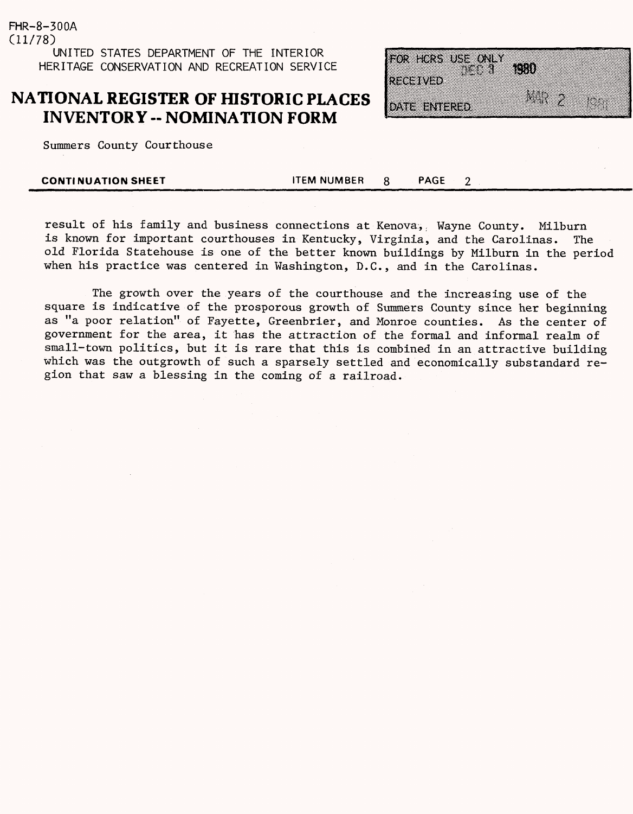### **NATIONAL REGISTER OF HISTORIC PLACES INVENTORY - NOMINATION FORM**

Summers County Courthouse

| FOR HCRS USE ONLY 1980<br>RECEIVED |  |  |
|------------------------------------|--|--|
|                                    |  |  |
| <b>DATE ENTERED</b>                |  |  |

| <b>CONTINUATION SHEET</b> | ITEM NUMBER | <b>PAGE</b> |  |
|---------------------------|-------------|-------------|--|
|                           |             |             |  |

result of his family and business connections at Kenova, Wayne County. Milburn is known for important courthouses in Kentucky, Virginia, and the Carolinas. The old Florida Statehouse is one of the better known buildings by Milburn in the period when his practice was centered in Washington, B.C., and in the Carolinas.

The growth over the years of the courthouse and the increasing use of the square is indicative of the prosperous growth of Summers County since her beginning as "a poor relation" of Fayette, Greenbrier, and Monroe counties. As the center of government for the area, it has the attraction of the formal and informal realm of small-town politics, but it is rare that this is combined in an attractive building which was the outgrowth of such a sparsely settled and economically substandard region that saw a blessing in the coming of a railroad.